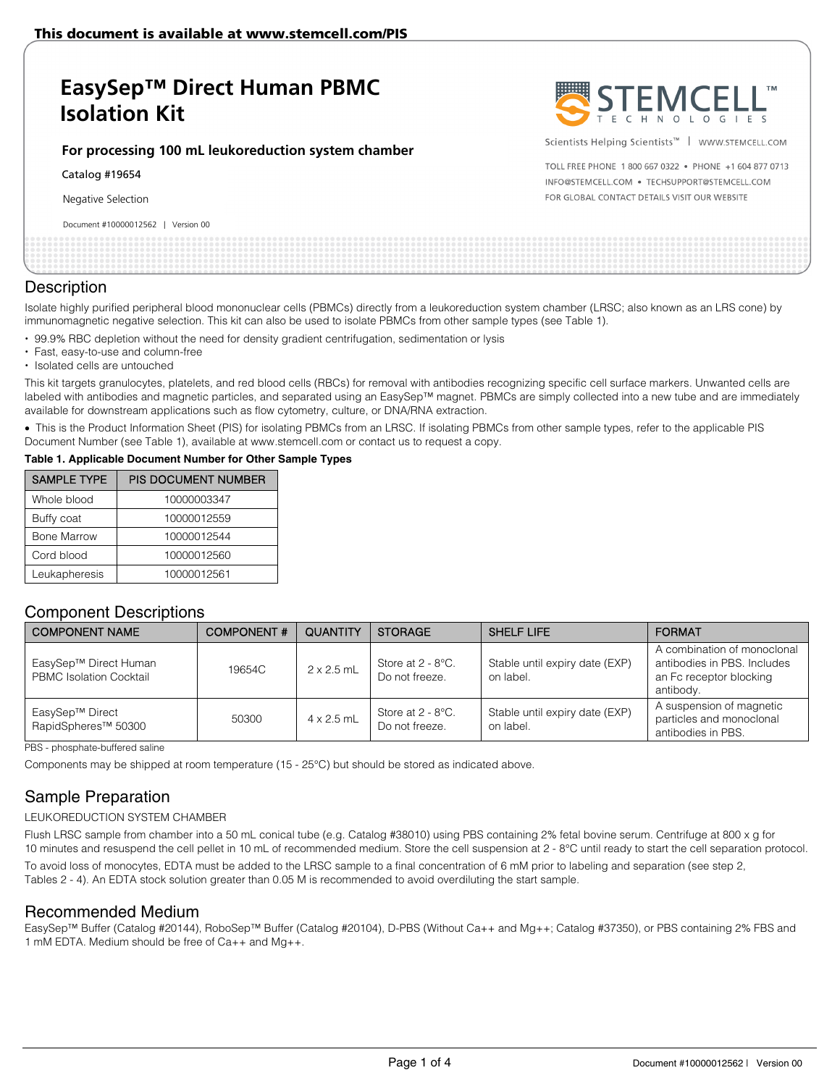# **EasySep™ Direct Human PBMC Isolation Kit**

#### **For processing 100 mL leukoreduction system chamber**

Catalog #19654

Negative Selection

Document #10000012562 | Version 00



Scientists Helping Scientists™ | WWW.STEMCELL.COM

TOLL FREE PHONE 1 800 667 0322 . PHONE +1 604 877 0713 INFO@STEMCELL.COM . TECHSUPPORT@STEMCELL.COM FOR GLOBAL CONTACT DETAILS VISIT OUR WEBSITE

| Pocariicht in 19999912992<br><b>VCIJIOII OU</b> |  |
|-------------------------------------------------|--|
|                                                 |  |
|                                                 |  |
|                                                 |  |
|                                                 |  |
|                                                 |  |
|                                                 |  |
|                                                 |  |
|                                                 |  |
|                                                 |  |

## **Description**

Isolate highly purified peripheral blood mononuclear cells (PBMCs) directly from a leukoreduction system chamber (LRSC; also known as an LRS cone) by immunomagnetic negative selection. This kit can also be used to isolate PBMCs from other sample types (see Table 1).

- 99.9% RBC depletion without the need for density gradient centrifugation, sedimentation or lysis
- Fast, easy-to-use and column-free
- Isolated cells are untouched

This kit targets granulocytes, platelets, and red blood cells (RBCs) for removal with antibodies recognizing specific cell surface markers. Unwanted cells are labeled with antibodies and magnetic particles, and separated using an EasySep™ magnet. PBMCs are simply collected into a new tube and are immediately available for downstream applications such as flow cytometry, culture, or DNA/RNA extraction.

• This is the Product Information Sheet (PIS) for isolating PBMCs from an LRSC. If isolating PBMCs from other sample types, refer to the applicable PIS Document Number (see Table 1), available at www.stemcell.com or contact us to request a copy.

#### **Table 1. Applicable Document Number for Other Sample Types**

| <b>SAMPLE TYPE</b> | <b>PIS DOCUMENT NUMBER</b> |
|--------------------|----------------------------|
| Whole blood        | 10000003347                |
| Buffy coat         | 10000012559                |
| <b>Bone Marrow</b> | 10000012544                |
| Cord blood         | 10000012560                |
| Leukapheresis      | 10000012561                |

## Component Descriptions

| <b>COMPONENT NAME</b>                                   | <b>COMPONENT#</b> | <b>QUANTITY</b>   | <b>STORAGE</b>                                     | SHELF LIFE                                  | <b>FORMAT</b>                                                                                      |
|---------------------------------------------------------|-------------------|-------------------|----------------------------------------------------|---------------------------------------------|----------------------------------------------------------------------------------------------------|
| EasySep™ Direct Human<br><b>PBMC Isolation Cocktail</b> | 19654C            | $2 \times 2.5$ mL | Store at $2 - 8$ <sup>o</sup> C.<br>Do not freeze. | Stable until expiry date (EXP)<br>on label. | A combination of monoclonal<br>antibodies in PBS. Includes<br>an Fc receptor blocking<br>antibody. |
| EasySep™ Direct<br>RapidSpheres <sup>™</sup> 50300      | 50300             | $4 \times 2.5$ mL | Store at $2 - 8$ °C.<br>Do not freeze.             | Stable until expiry date (EXP)<br>on label. | A suspension of magnetic<br>particles and monoclonal<br>antibodies in PBS.                         |

PBS - phosphate-buffered saline

Components may be shipped at room temperature (15 - 25°C) but should be stored as indicated above.

# Sample Preparation

### LEUKOREDUCTION SYSTEM CHAMBER

Flush LRSC sample from chamber into a 50 mL conical tube (e.g. Catalog #38010) using PBS containing 2% fetal bovine serum. Centrifuge at 800 x g for 10 minutes and resuspend the cell pellet in 10 mL of recommended medium. Store the cell suspension at 2 - 8°C until ready to start the cell separation protocol. To avoid loss of monocytes, EDTA must be added to the LRSC sample to a final concentration of 6 mM prior to labeling and separation (see step 2, Tables 2 - 4). An EDTA stock solution greater than 0.05 M is recommended to avoid overdiluting the start sample.

### Recommended Medium

EasySep™ Buffer (Catalog #20144), RoboSep™ Buffer (Catalog #20104), D-PBS (Without Ca++ and Mg++; Catalog #37350), or PBS containing 2% FBS and 1 mM EDTA. Medium should be free of Ca++ and Mg++.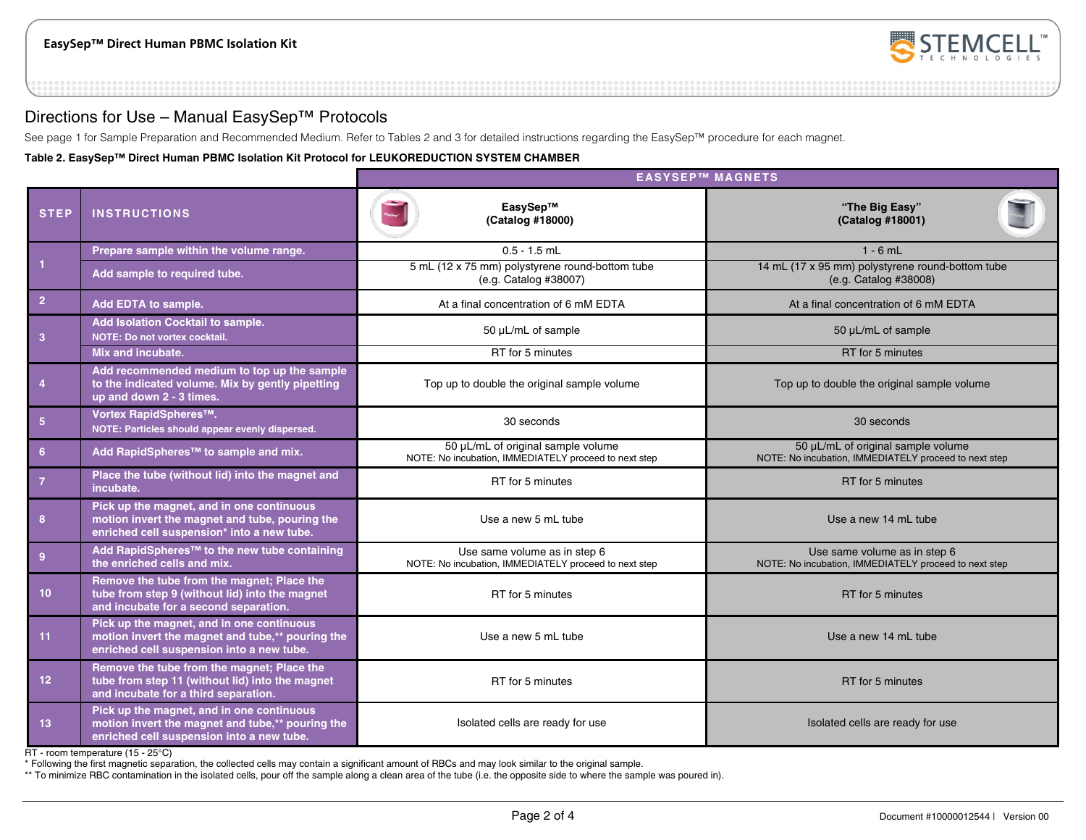

## Directions for Use – Manual EasySep™ Protocols

See page 1 for Sample Preparation and Recommended Medium. Refer to Tables 2 and 3 for detailed instructions regarding the EasySep™ procedure for each magnet.

**Table 2. EasySep™ Direct Human PBMC Isolation Kit Protocol for LEUKOREDUCTION SYSTEM CHAMBER**

|                 |                                                                                                                                            | <b>EASYSEP™ MAGNETS</b>                                                                     |                                                                                             |  |  |
|-----------------|--------------------------------------------------------------------------------------------------------------------------------------------|---------------------------------------------------------------------------------------------|---------------------------------------------------------------------------------------------|--|--|
| <b>STEP</b>     | <b>INSTRUCTIONS</b>                                                                                                                        | EasySep™<br>(Catalog #18000)                                                                | "The Big Easy"<br>(Catalog #18001)                                                          |  |  |
|                 | Prepare sample within the volume range.                                                                                                    | $0.5 - 1.5$ mL                                                                              | $1 - 6$ mL                                                                                  |  |  |
| $\vert$ 1       | Add sample to required tube.                                                                                                               | 5 mL (12 x 75 mm) polystyrene round-bottom tube<br>(e.g. Catalog #38007)                    | 14 mL (17 x 95 mm) polystyrene round-bottom tube<br>(e.g. Catalog #38008)                   |  |  |
| $\overline{2}$  | Add EDTA to sample.                                                                                                                        | At a final concentration of 6 mM EDTA                                                       | At a final concentration of 6 mM EDTA                                                       |  |  |
| $\overline{3}$  | Add Isolation Cocktail to sample.<br>NOTE: Do not vortex cocktail.                                                                         | 50 µL/mL of sample                                                                          | 50 µL/mL of sample                                                                          |  |  |
|                 | Mix and incubate.                                                                                                                          | RT for 5 minutes                                                                            | RT for 5 minutes                                                                            |  |  |
| $\overline{4}$  | Add recommended medium to top up the sample<br>to the indicated volume. Mix by gently pipetting<br>up and down 2 - 3 times.                | Top up to double the original sample volume                                                 | Top up to double the original sample volume                                                 |  |  |
| $\sqrt{5}$      | Vortex RapidSpheres™.<br>NOTE: Particles should appear evenly dispersed.                                                                   | 30 seconds                                                                                  | 30 seconds                                                                                  |  |  |
| $6\phantom{1}6$ | Add RapidSpheres™ to sample and mix.                                                                                                       | 50 µL/mL of original sample volume<br>NOTE: No incubation, IMMEDIATELY proceed to next step | 50 µL/mL of original sample volume<br>NOTE: No incubation, IMMEDIATELY proceed to next step |  |  |
| $\overline{7}$  | Place the tube (without lid) into the magnet and<br>incubate.                                                                              | RT for 5 minutes                                                                            | RT for 5 minutes                                                                            |  |  |
| 8               | Pick up the magnet, and in one continuous<br>motion invert the magnet and tube, pouring the<br>enriched cell suspension* into a new tube.  | Use a new 5 mL tube                                                                         | Use a new 14 mL tube                                                                        |  |  |
| $\overline{9}$  | Add RapidSpheres <sup>™</sup> to the new tube containing<br>the enriched cells and mix.                                                    | Use same volume as in step 6<br>NOTE: No incubation, IMMEDIATELY proceed to next step       | Use same volume as in step 6<br>NOTE: No incubation, IMMEDIATELY proceed to next step       |  |  |
| 10 <sup>°</sup> | Remove the tube from the magnet; Place the<br>tube from step 9 (without lid) into the magnet<br>and incubate for a second separation.      | RT for 5 minutes                                                                            | RT for 5 minutes                                                                            |  |  |
| 11              | Pick up the magnet, and in one continuous<br>motion invert the magnet and tube,** pouring the<br>enriched cell suspension into a new tube. | Use a new 5 mL tube                                                                         | Use a new 14 mL tube                                                                        |  |  |
| 12              | Remove the tube from the magnet; Place the<br>tube from step 11 (without lid) into the magnet<br>and incubate for a third separation.      | RT for 5 minutes                                                                            | RT for 5 minutes                                                                            |  |  |
| 13              | Pick up the magnet, and in one continuous<br>motion invert the magnet and tube,** pouring the<br>enriched cell suspension into a new tube. | Isolated cells are ready for use                                                            | Isolated cells are ready for use                                                            |  |  |

RT - room temperature (15 - 25°C)

\* Following the first magnetic separation, the collected cells may contain a significant amount of RBCs and may look similar to the original sample.

\*\* To minimize RBC contamination in the isolated cells, pour off the sample along a clean area of the tube (i.e. the opposite side to where the sample was poured in).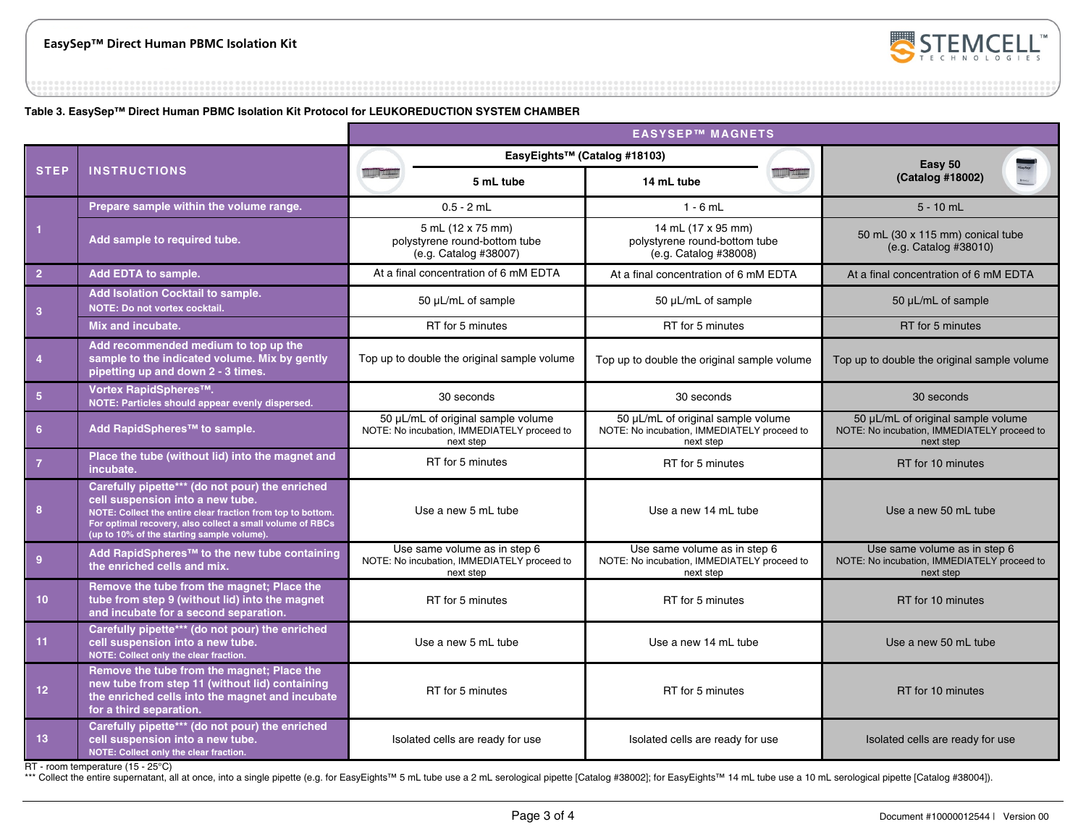

**Table 3. EasySep™ Direct Human PBMC Isolation Kit Protocol for LEUKOREDUCTION SYSTEM CHAMBER**

|                 |                                                                                                                                                                                                                                                               | <b>EASYSEP™ MAGNETS</b>                                                                        |                                                                             |                                                                                                |  |                                                                                                |  |
|-----------------|---------------------------------------------------------------------------------------------------------------------------------------------------------------------------------------------------------------------------------------------------------------|------------------------------------------------------------------------------------------------|-----------------------------------------------------------------------------|------------------------------------------------------------------------------------------------|--|------------------------------------------------------------------------------------------------|--|
|                 |                                                                                                                                                                                                                                                               | EasyEights™ (Catalog #18103)                                                                   |                                                                             |                                                                                                |  | Easy 50                                                                                        |  |
| <b>STEP</b>     | <b>INSTRUCTIONS</b>                                                                                                                                                                                                                                           |                                                                                                | 5 mL tube                                                                   | 14 mL tube                                                                                     |  | (Catalog #18002)                                                                               |  |
|                 | Prepare sample within the volume range.                                                                                                                                                                                                                       | $0.5 - 2$ mL                                                                                   |                                                                             | $1 - 6$ mL                                                                                     |  | $5 - 10$ mL                                                                                    |  |
| 1               | Add sample to required tube.                                                                                                                                                                                                                                  |                                                                                                | 5 mL (12 x 75 mm)<br>polystyrene round-bottom tube<br>(e.g. Catalog #38007) | 14 mL (17 x 95 mm)<br>polystyrene round-bottom tube<br>(e.g. Catalog #38008)                   |  | 50 mL (30 x 115 mm) conical tube<br>(e.g. Catalog #38010)                                      |  |
| 2 <sup>2</sup>  | Add EDTA to sample.                                                                                                                                                                                                                                           |                                                                                                | At a final concentration of 6 mM EDTA                                       | At a final concentration of 6 mM EDTA                                                          |  | At a final concentration of 6 mM EDTA                                                          |  |
| 3               | Add Isolation Cocktail to sample.<br>NOTE: Do not vortex cocktail.                                                                                                                                                                                            | 50 µL/mL of sample                                                                             |                                                                             | 50 µL/mL of sample                                                                             |  | 50 µL/mL of sample                                                                             |  |
|                 | Mix and incubate.                                                                                                                                                                                                                                             |                                                                                                | RT for 5 minutes                                                            | RT for 5 minutes                                                                               |  | RT for 5 minutes                                                                               |  |
| 4               | Add recommended medium to top up the<br>sample to the indicated volume. Mix by gently<br>pipetting up and down 2 - 3 times.                                                                                                                                   | Top up to double the original sample volume                                                    |                                                                             | Top up to double the original sample volume                                                    |  | Top up to double the original sample volume                                                    |  |
| $5\phantom{.0}$ | Vortex RapidSpheres™.<br>NOTE: Particles should appear evenly dispersed.                                                                                                                                                                                      | 30 seconds                                                                                     |                                                                             | 30 seconds                                                                                     |  | 30 seconds                                                                                     |  |
| 6 <sup>1</sup>  | Add RapidSpheres™ to sample.                                                                                                                                                                                                                                  | 50 µL/mL of original sample volume<br>NOTE: No incubation, IMMEDIATELY proceed to<br>next step |                                                                             | 50 µL/mL of original sample volume<br>NOTE: No incubation, IMMEDIATELY proceed to<br>next step |  | 50 µL/mL of original sample volume<br>NOTE: No incubation, IMMEDIATELY proceed to<br>next step |  |
| $\overline{7}$  | Place the tube (without lid) into the magnet and<br>incubate.                                                                                                                                                                                                 | RT for 5 minutes                                                                               |                                                                             | RT for 5 minutes                                                                               |  | RT for 10 minutes                                                                              |  |
| 8               | Carefully pipette*** (do not pour) the enriched<br>cell suspension into a new tube.<br>NOTE: Collect the entire clear fraction from top to bottom.<br>For optimal recovery, also collect a small volume of RBCs<br>(up to 10% of the starting sample volume). | Use a new 5 mL tube                                                                            |                                                                             | Use a new 14 mL tube                                                                           |  | Use a new 50 mL tube                                                                           |  |
| $\overline{9}$  | Add RapidSpheres <sup>™</sup> to the new tube containing<br>the enriched cells and mix.                                                                                                                                                                       | Use same volume as in step 6<br>NOTE: No incubation, IMMEDIATELY proceed to<br>next step       |                                                                             | Use same volume as in step 6<br>NOTE: No incubation, IMMEDIATELY proceed to<br>next step       |  | Use same volume as in step 6<br>NOTE: No incubation, IMMEDIATELY proceed to<br>next step       |  |
| $10-1$          | Remove the tube from the magnet; Place the<br>tube from step 9 (without lid) into the magnet<br>and incubate for a second separation.                                                                                                                         | RT for 5 minutes                                                                               |                                                                             | RT for 5 minutes                                                                               |  | RT for 10 minutes                                                                              |  |
| 11              | Carefully pipette*** (do not pour) the enriched<br>cell suspension into a new tube.<br>NOTE: Collect only the clear fraction.                                                                                                                                 | Use a new 5 mL tube                                                                            |                                                                             | Use a new 14 mL tube                                                                           |  | Use a new 50 mL tube                                                                           |  |
| 12 <sup>°</sup> | Remove the tube from the magnet; Place the<br>new tube from step 11 (without lid) containing<br>the enriched cells into the magnet and incubate<br>for a third separation.                                                                                    | RT for 5 minutes                                                                               |                                                                             | RT for 5 minutes                                                                               |  | RT for 10 minutes                                                                              |  |
| 13 <sup>°</sup> | Carefully pipette*** (do not pour) the enriched<br>cell suspension into a new tube.<br>NOTE: Collect only the clear fraction.                                                                                                                                 |                                                                                                | Isolated cells are ready for use                                            | Isolated cells are ready for use                                                               |  | Isolated cells are ready for use                                                               |  |

RT - room temperature (15 - 25°C)

\*\*\* Collect the entire supernatant, all at once, into a single pipette (e.g. for EasyEights™ 5 mL tube use a 2 mL serological pipette [Catalog #38002]; for EasyEights™ 14 mL tube use a 10 mL serological pipette [Catalog #3